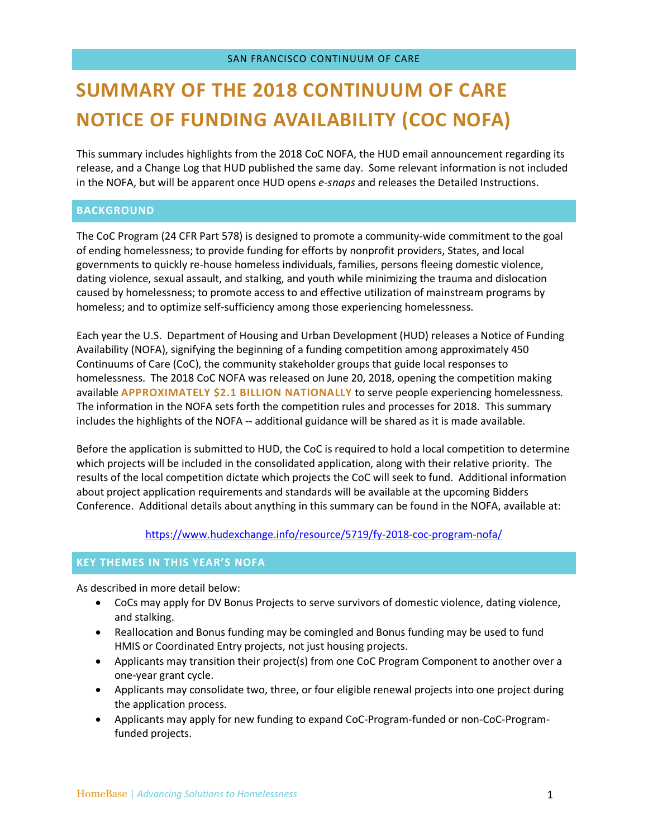# **SUMMARY OF THE 2018 CONTINUUM OF CARE NOTICE OF FUNDING AVAILABILITY (COC NOFA)**

This summary includes highlights from the 2018 CoC NOFA, the HUD email announcement regarding its release, and a Change Log that HUD published the same day. Some relevant information is not included in the NOFA, but will be apparent once HUD opens *e-snaps* and releases the Detailed Instructions.

# **BACKGROUND**

The CoC Program (24 CFR Part 578) is designed to promote a community-wide commitment to the goal of ending homelessness; to provide funding for efforts by nonprofit providers, States, and local governments to quickly re-house homeless individuals, families, persons fleeing domestic violence, dating violence, sexual assault, and stalking, and youth while minimizing the trauma and dislocation caused by homelessness; to promote access to and effective utilization of mainstream programs by homeless; and to optimize self-sufficiency among those experiencing homelessness.

Each year the U.S. Department of Housing and Urban Development (HUD) releases a Notice of Funding Availability (NOFA), signifying the beginning of a funding competition among approximately 450 Continuums of Care (CoC), the community stakeholder groups that guide local responses to homelessness. The 2018 CoC NOFA was released on June 20, 2018, opening the competition making available **APPROXIMATELY \$2.1 BILLION NATIONALLY** to serve people experiencing homelessness. The information in the NOFA sets forth the competition rules and processes for 2018. This summary includes the highlights of the NOFA -- additional guidance will be shared as it is made available.

Before the application is submitted to HUD, the CoC is required to hold a local competition to determine which projects will be included in the consolidated application, along with their relative priority. The results of the local competition dictate which projects the CoC will seek to fund. Additional information about project application requirements and standards will be available at the upcoming Bidders Conference. Additional details about anything in this summary can be found in the NOFA, available at:

https://www.hudexchange.info/resource/5719/fy-2018-coc-program-nofa/

# **KEY THEMES IN THIS YEAR'S NOFA**

As described in more detail below:

- CoCs may apply for DV Bonus Projects to serve survivors of domestic violence, dating violence, and stalking.
- Reallocation and Bonus funding may be comingled and Bonus funding may be used to fund HMIS or Coordinated Entry projects, not just housing projects.
- Applicants may transition their project(s) from one CoC Program Component to another over a one-year grant cycle.
- Applicants may consolidate two, three, or four eligible renewal projects into one project during the application process.
- Applicants may apply for new funding to expand CoC-Program-funded or non-CoC-Programfunded projects.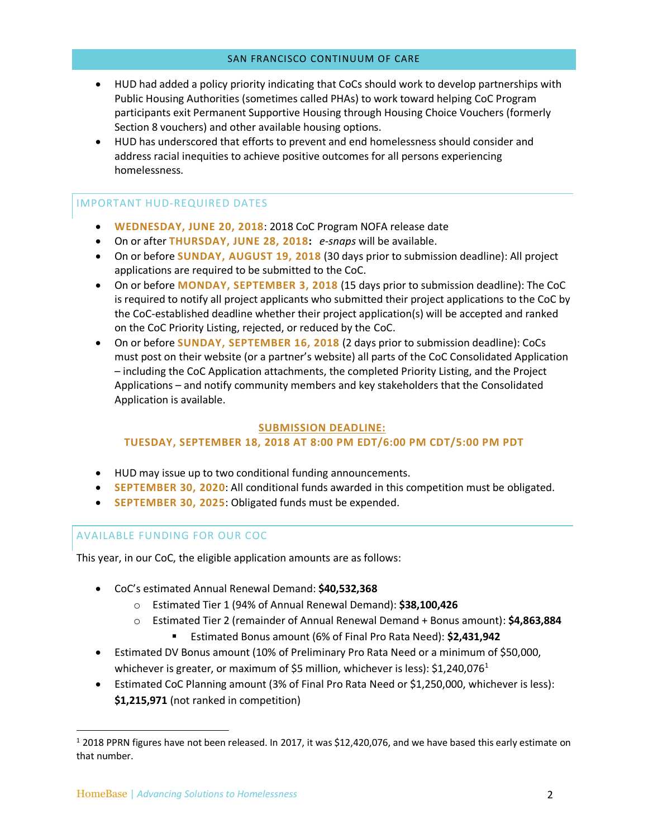- HUD had added a policy priority indicating that CoCs should work to develop partnerships with Public Housing Authorities (sometimes called PHAs) to work toward helping CoC Program participants exit Permanent Supportive Housing through Housing Choice Vouchers (formerly Section 8 vouchers) and other available housing options.
- HUD has underscored that efforts to prevent and end homelessness should consider and address racial inequities to achieve positive outcomes for all persons experiencing homelessness.

# IMPORTANT HUD-REQUIRED DATES

- **WEDNESDAY, JUNE 20, 2018**: 2018 CoC Program NOFA release date
- On or after **THURSDAY, JUNE 28, 2018:** *e-snaps* will be available.
- On or before **SUNDAY, AUGUST 19, 2018** (30 days prior to submission deadline): All project applications are required to be submitted to the CoC.
- On or before **MONDAY, SEPTEMBER 3, 2018** (15 days prior to submission deadline): The CoC is required to notify all project applicants who submitted their project applications to the CoC by the CoC-established deadline whether their project application(s) will be accepted and ranked on the CoC Priority Listing, rejected, or reduced by the CoC.
- On or before **SUNDAY, SEPTEMBER 16, 2018** (2 days prior to submission deadline): CoCs must post on their website (or a partner's website) all parts of the CoC Consolidated Application – including the CoC Application attachments, the completed Priority Listing, and the Project Applications – and notify community members and key stakeholders that the Consolidated Application is available.

# **SUBMISSION DEADLINE:**

# **TUESDAY, SEPTEMBER 18, 2018 AT 8:00 PM EDT/6:00 PM CDT/5:00 PM PDT**

- HUD may issue up to two conditional funding announcements.
- **SEPTEMBER 30, 2020**: All conditional funds awarded in this competition must be obligated.
- **SEPTEMBER 30, 2025**: Obligated funds must be expended.

# AVAILABLE FUNDING FOR OUR COC

This year, in our CoC, the eligible application amounts are as follows:

- CoC's estimated Annual Renewal Demand: **\$40,532,368**
	- o Estimated Tier 1 (94% of Annual Renewal Demand): **\$38,100,426**
	- o Estimated Tier 2 (remainder of Annual Renewal Demand + Bonus amount): **\$4,863,884**
		- § Estimated Bonus amount (6% of Final Pro Rata Need): **\$2,431,942**
- Estimated DV Bonus amount (10% of Preliminary Pro Rata Need or a minimum of \$50,000, whichever is greater, or maximum of \$5 million, whichever is less):  $$1,240,076<sup>1</sup>$
- Estimated CoC Planning amount (3% of Final Pro Rata Need or \$1,250,000, whichever is less): **\$1,215,971** (not ranked in competition)

 $12018$  PPRN figures have not been released. In 2017, it was \$12,420,076, and we have based this early estimate on that number.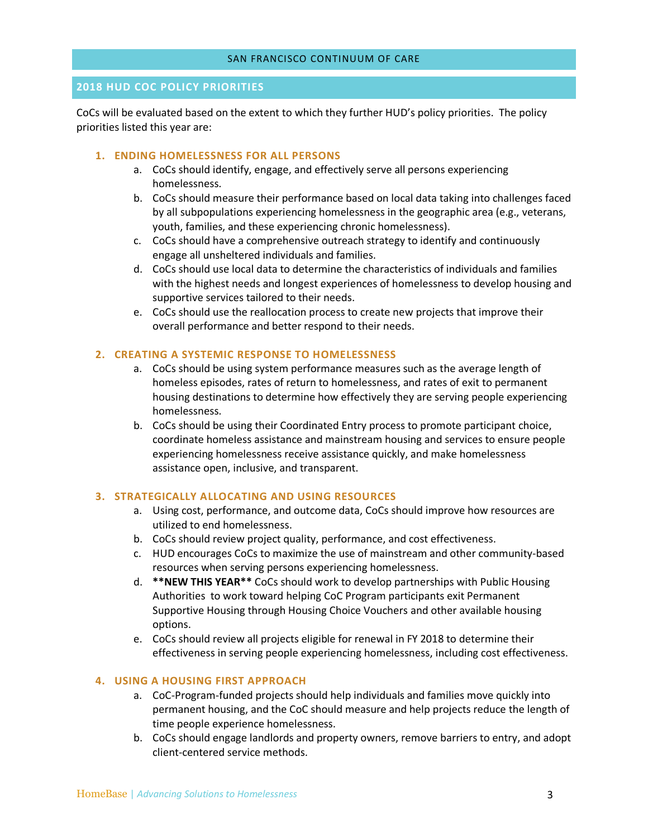# **2018 HUD COC POLICY PRIORITIES**

CoCs will be evaluated based on the extent to which they further HUD's policy priorities. The policy priorities listed this year are:

#### **1. ENDING HOMELESSNESS FOR ALL PERSONS**

- a. CoCs should identify, engage, and effectively serve all persons experiencing homelessness.
- b. CoCs should measure their performance based on local data taking into challenges faced by all subpopulations experiencing homelessness in the geographic area (e.g., veterans, youth, families, and these experiencing chronic homelessness).
- c. CoCs should have a comprehensive outreach strategy to identify and continuously engage all unsheltered individuals and families.
- d. CoCs should use local data to determine the characteristics of individuals and families with the highest needs and longest experiences of homelessness to develop housing and supportive services tailored to their needs.
- e. CoCs should use the reallocation process to create new projects that improve their overall performance and better respond to their needs.

# **2. CREATING A SYSTEMIC RESPONSE TO HOMELESSNESS**

- a. CoCs should be using system performance measures such as the average length of homeless episodes, rates of return to homelessness, and rates of exit to permanent housing destinations to determine how effectively they are serving people experiencing homelessness.
- b. CoCs should be using their Coordinated Entry process to promote participant choice, coordinate homeless assistance and mainstream housing and services to ensure people experiencing homelessness receive assistance quickly, and make homelessness assistance open, inclusive, and transparent.

## **3. STRATEGICALLY ALLOCATING AND USING RESOURCES**

- a. Using cost, performance, and outcome data, CoCs should improve how resources are utilized to end homelessness.
- b. CoCs should review project quality, performance, and cost effectiveness.
- c. HUD encourages CoCs to maximize the use of mainstream and other community-based resources when serving persons experiencing homelessness.
- d. **\*\*NEW THIS YEAR\*\*** CoCs should work to develop partnerships with Public Housing Authorities to work toward helping CoC Program participants exit Permanent Supportive Housing through Housing Choice Vouchers and other available housing options.
- e. CoCs should review all projects eligible for renewal in FY 2018 to determine their effectiveness in serving people experiencing homelessness, including cost effectiveness.

## **4. USING A HOUSING FIRST APPROACH**

- a. CoC-Program-funded projects should help individuals and families move quickly into permanent housing, and the CoC should measure and help projects reduce the length of time people experience homelessness.
- b. CoCs should engage landlords and property owners, remove barriers to entry, and adopt client-centered service methods.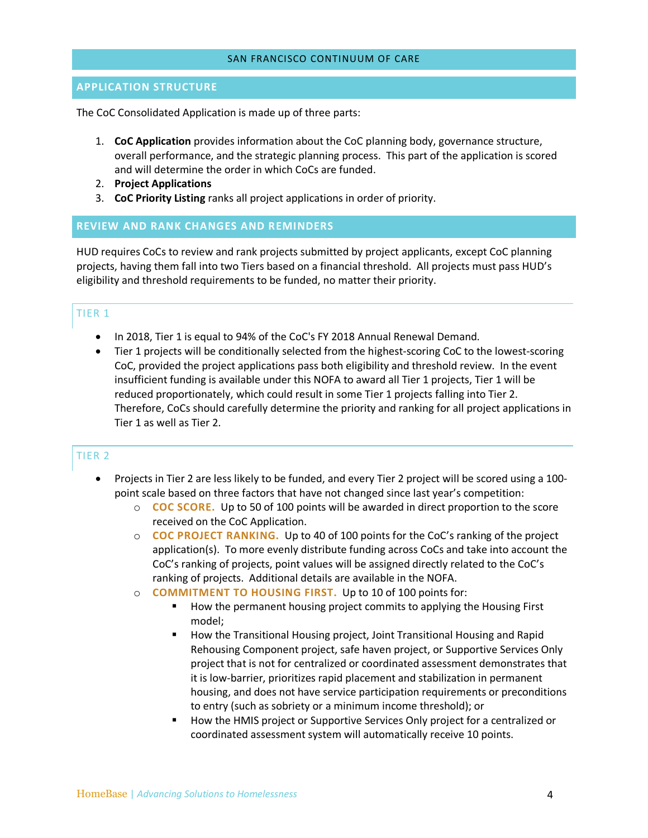# **APPLICATION STRUCTURE**

The CoC Consolidated Application is made up of three parts:

- 1. **CoC Application** provides information about the CoC planning body, governance structure, overall performance, and the strategic planning process. This part of the application is scored and will determine the order in which CoCs are funded.
- 2. **Project Applications**
- 3. **CoC Priority Listing** ranks all project applications in order of priority.

## **REVIEW AND RANK CHANGES AND REMINDERS**

HUD requires CoCs to review and rank projects submitted by project applicants, except CoC planning projects, having them fall into two Tiers based on a financial threshold. All projects must pass HUD's eligibility and threshold requirements to be funded, no matter their priority.

# TIER 1

- In 2018, Tier 1 is equal to 94% of the CoC's FY 2018 Annual Renewal Demand.
- Tier 1 projects will be conditionally selected from the highest-scoring CoC to the lowest-scoring CoC, provided the project applications pass both eligibility and threshold review. In the event insufficient funding is available under this NOFA to award all Tier 1 projects, Tier 1 will be reduced proportionately, which could result in some Tier 1 projects falling into Tier 2. Therefore, CoCs should carefully determine the priority and ranking for all project applications in Tier 1 as well as Tier 2.

# TIER 2

- Projects in Tier 2 are less likely to be funded, and every Tier 2 project will be scored using a 100 point scale based on three factors that have not changed since last year's competition:
	- o **COC SCORE.** Up to 50 of 100 points will be awarded in direct proportion to the score received on the CoC Application.
	- o **COC PROJECT RANKING.**Up to 40 of 100 points for the CoC's ranking of the project application(s). To more evenly distribute funding across CoCs and take into account the CoC's ranking of projects, point values will be assigned directly related to the CoC's ranking of projects. Additional details are available in the NOFA.
	- o **COMMITMENT TO HOUSING FIRST.**Up to 10 of 100 points for:
		- § How the permanent housing project commits to applying the Housing First model;
		- How the Transitional Housing project, Joint Transitional Housing and Rapid Rehousing Component project, safe haven project, or Supportive Services Only project that is not for centralized or coordinated assessment demonstrates that it is low-barrier, prioritizes rapid placement and stabilization in permanent housing, and does not have service participation requirements or preconditions to entry (such as sobriety or a minimum income threshold); or
		- § How the HMIS project or Supportive Services Only project for a centralized or coordinated assessment system will automatically receive 10 points.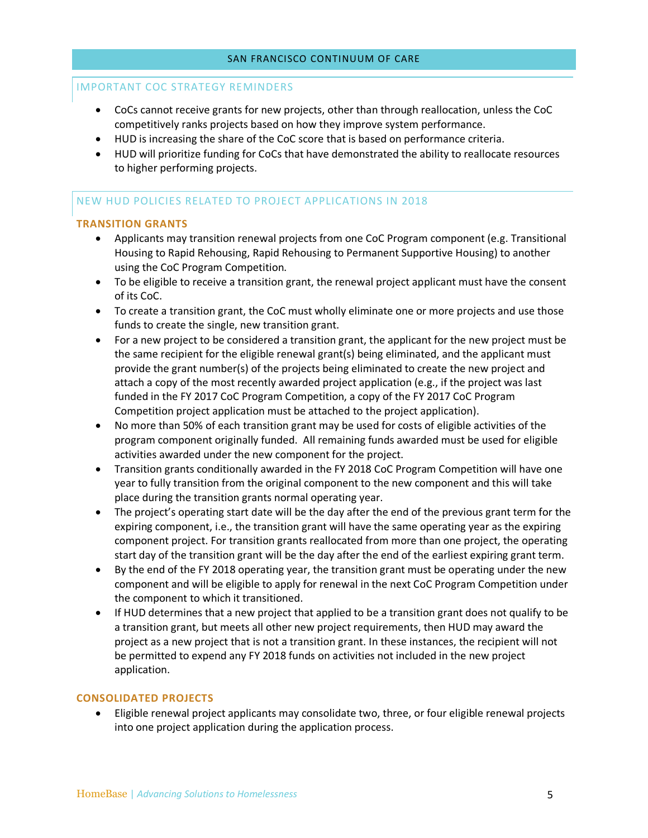# IMPORTANT COC STRATEGY REMINDERS

- CoCs cannot receive grants for new projects, other than through reallocation, unless the CoC competitively ranks projects based on how they improve system performance.
- HUD is increasing the share of the CoC score that is based on performance criteria.
- HUD will prioritize funding for CoCs that have demonstrated the ability to reallocate resources to higher performing projects.

# NEW HUD POLICIES RELATED TO PROJECT APPLICATIONS IN 2018

## **TRANSITION GRANTS**

- Applicants may transition renewal projects from one CoC Program component (e.g. Transitional Housing to Rapid Rehousing, Rapid Rehousing to Permanent Supportive Housing) to another using the CoC Program Competition.
- To be eligible to receive a transition grant, the renewal project applicant must have the consent of its CoC.
- To create a transition grant, the CoC must wholly eliminate one or more projects and use those funds to create the single, new transition grant.
- For a new project to be considered a transition grant, the applicant for the new project must be the same recipient for the eligible renewal grant(s) being eliminated, and the applicant must provide the grant number(s) of the projects being eliminated to create the new project and attach a copy of the most recently awarded project application (e.g., if the project was last funded in the FY 2017 CoC Program Competition, a copy of the FY 2017 CoC Program Competition project application must be attached to the project application).
- No more than 50% of each transition grant may be used for costs of eligible activities of the program component originally funded. All remaining funds awarded must be used for eligible activities awarded under the new component for the project.
- Transition grants conditionally awarded in the FY 2018 CoC Program Competition will have one year to fully transition from the original component to the new component and this will take place during the transition grants normal operating year.
- The project's operating start date will be the day after the end of the previous grant term for the expiring component, i.e., the transition grant will have the same operating year as the expiring component project. For transition grants reallocated from more than one project, the operating start day of the transition grant will be the day after the end of the earliest expiring grant term.
- By the end of the FY 2018 operating year, the transition grant must be operating under the new component and will be eligible to apply for renewal in the next CoC Program Competition under the component to which it transitioned.
- If HUD determines that a new project that applied to be a transition grant does not qualify to be a transition grant, but meets all other new project requirements, then HUD may award the project as a new project that is not a transition grant. In these instances, the recipient will not be permitted to expend any FY 2018 funds on activities not included in the new project application.

#### **CONSOLIDATED PROJECTS**

• Eligible renewal project applicants may consolidate two, three, or four eligible renewal projects into one project application during the application process.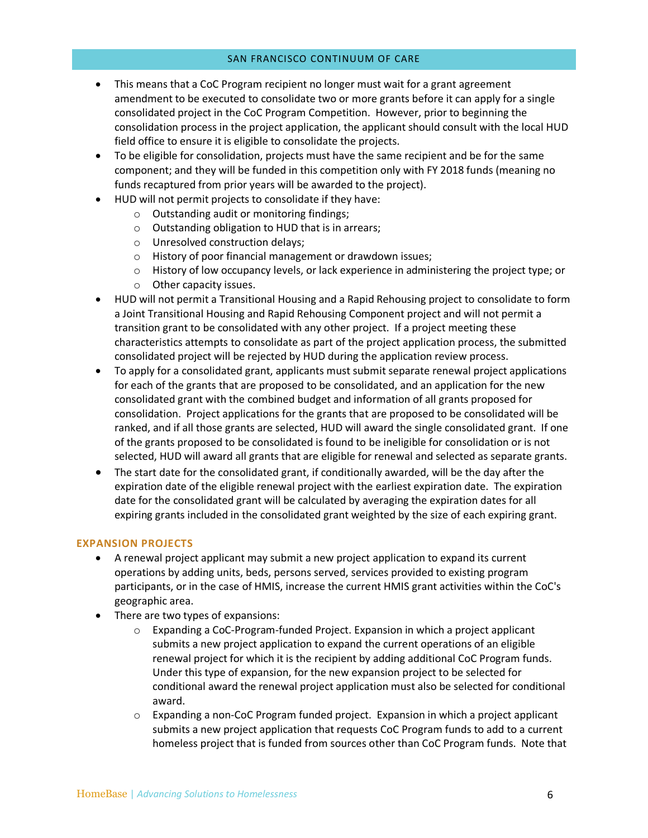- This means that a CoC Program recipient no longer must wait for a grant agreement amendment to be executed to consolidate two or more grants before it can apply for a single consolidated project in the CoC Program Competition. However, prior to beginning the consolidation process in the project application, the applicant should consult with the local HUD field office to ensure it is eligible to consolidate the projects.
- To be eligible for consolidation, projects must have the same recipient and be for the same component; and they will be funded in this competition only with FY 2018 funds (meaning no funds recaptured from prior years will be awarded to the project).
- HUD will not permit projects to consolidate if they have:
	- o Outstanding audit or monitoring findings;
	- o Outstanding obligation to HUD that is in arrears;
	- o Unresolved construction delays;
	- o History of poor financial management or drawdown issues;
	- $\circ$  History of low occupancy levels, or lack experience in administering the project type; or
	- o Other capacity issues.
- HUD will not permit a Transitional Housing and a Rapid Rehousing project to consolidate to form a Joint Transitional Housing and Rapid Rehousing Component project and will not permit a transition grant to be consolidated with any other project. If a project meeting these characteristics attempts to consolidate as part of the project application process, the submitted consolidated project will be rejected by HUD during the application review process.
- To apply for a consolidated grant, applicants must submit separate renewal project applications for each of the grants that are proposed to be consolidated, and an application for the new consolidated grant with the combined budget and information of all grants proposed for consolidation. Project applications for the grants that are proposed to be consolidated will be ranked, and if all those grants are selected, HUD will award the single consolidated grant. If one of the grants proposed to be consolidated is found to be ineligible for consolidation or is not selected, HUD will award all grants that are eligible for renewal and selected as separate grants.
- The start date for the consolidated grant, if conditionally awarded, will be the day after the expiration date of the eligible renewal project with the earliest expiration date. The expiration date for the consolidated grant will be calculated by averaging the expiration dates for all expiring grants included in the consolidated grant weighted by the size of each expiring grant.

# **EXPANSION PROJECTS**

- A renewal project applicant may submit a new project application to expand its current operations by adding units, beds, persons served, services provided to existing program participants, or in the case of HMIS, increase the current HMIS grant activities within the CoC's geographic area.
- There are two types of expansions:
	- $\circ$  Expanding a CoC-Program-funded Project. Expansion in which a project applicant submits a new project application to expand the current operations of an eligible renewal project for which it is the recipient by adding additional CoC Program funds. Under this type of expansion, for the new expansion project to be selected for conditional award the renewal project application must also be selected for conditional award.
	- o Expanding a non-CoC Program funded project. Expansion in which a project applicant submits a new project application that requests CoC Program funds to add to a current homeless project that is funded from sources other than CoC Program funds. Note that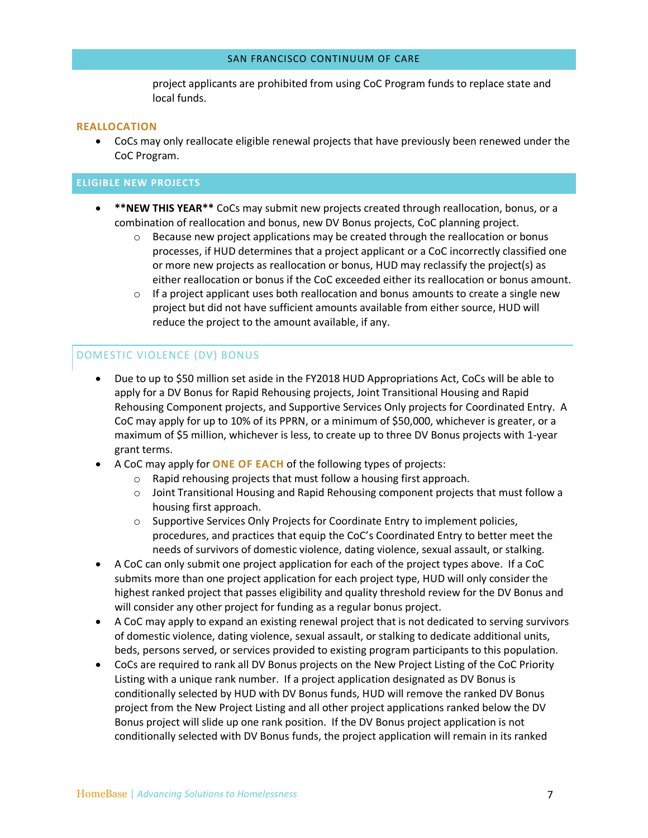project applicants are prohibited from using CoC Program funds to replace state and local funds.

#### **REALLOCATION**

• CoCs may only reallocate eligible renewal projects that have previously been renewed under the CoC Program.

## **ELIGIBLE NEW PROJECTS**

- **\*\*NEW THIS YEAR\*\*** CoCs may submit new projects created through reallocation, bonus, or a combination of reallocation and bonus, new DV Bonus projects, CoC planning project.
	- $\circ$  Because new project applications may be created through the reallocation or bonus processes, if HUD determines that a project applicant or a CoC incorrectly classified one or more new projects as reallocation or bonus, HUD may reclassify the project(s) as either reallocation or bonus if the CoC exceeded either its reallocation or bonus amount.
	- $\circ$  If a project applicant uses both reallocation and bonus amounts to create a single new project but did not have sufficient amounts available from either source, HUD will reduce the project to the amount available, if any.

# DOMESTIC VIOLENCE (DV) BONUS

- Due to up to \$50 million set aside in the FY2018 HUD Appropriations Act, CoCs will be able to apply for a DV Bonus for Rapid Rehousing projects, Joint Transitional Housing and Rapid Rehousing Component projects, and Supportive Services Only projects for Coordinated Entry. A CoC may apply for up to 10% of its PPRN, or a minimum of \$50,000, whichever is greater, or a maximum of \$5 million, whichever is less, to create up to three DV Bonus projects with 1-year grant terms.
- A CoC may apply for **ONE OF EACH** of the following types of projects:
	- o Rapid rehousing projects that must follow a housing first approach.
	- o Joint Transitional Housing and Rapid Rehousing component projects that must follow a housing first approach.
	- o Supportive Services Only Projects for Coordinate Entry to implement policies, procedures, and practices that equip the CoC's Coordinated Entry to better meet the needs of survivors of domestic violence, dating violence, sexual assault, or stalking.
- A CoC can only submit one project application for each of the project types above. If a CoC submits more than one project application for each project type, HUD will only consider the highest ranked project that passes eligibility and quality threshold review for the DV Bonus and will consider any other project for funding as a regular bonus project.
- A CoC may apply to expand an existing renewal project that is not dedicated to serving survivors of domestic violence, dating violence, sexual assault, or stalking to dedicate additional units, beds, persons served, or services provided to existing program participants to this population.
- CoCs are required to rank all DV Bonus projects on the New Project Listing of the CoC Priority Listing with a unique rank number. If a project application designated as DV Bonus is conditionally selected by HUD with DV Bonus funds, HUD will remove the ranked DV Bonus project from the New Project Listing and all other project applications ranked below the DV Bonus project will slide up one rank position. If the DV Bonus project application is not conditionally selected with DV Bonus funds, the project application will remain in its ranked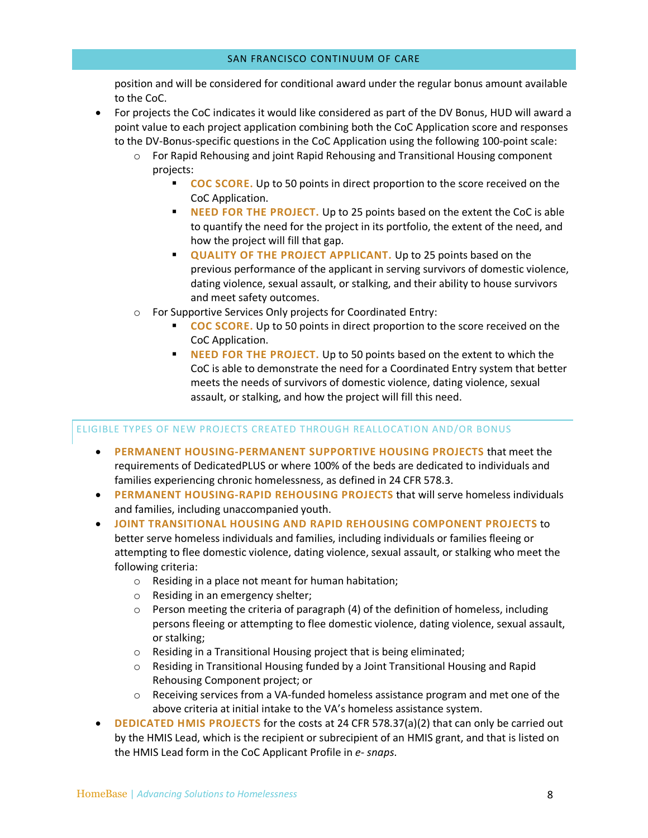position and will be considered for conditional award under the regular bonus amount available to the CoC.

- For projects the CoC indicates it would like considered as part of the DV Bonus, HUD will award a point value to each project application combining both the CoC Application score and responses to the DV-Bonus-specific questions in the CoC Application using the following 100-point scale:
	- o For Rapid Rehousing and joint Rapid Rehousing and Transitional Housing component projects:
		- § **COC SCORE.** Up to 50 points in direct proportion to the score received on the CoC Application.
		- § **NEED FOR THE PROJECT.** Up to 25 points based on the extent the CoC is able to quantify the need for the project in its portfolio, the extent of the need, and how the project will fill that gap.
		- **QUALITY OF THE PROJECT APPLICANT.** Up to 25 points based on the previous performance of the applicant in serving survivors of domestic violence, dating violence, sexual assault, or stalking, and their ability to house survivors and meet safety outcomes.
	- o For Supportive Services Only projects for Coordinated Entry:
		- **COC SCORE.** Up to 50 points in direct proportion to the score received on the CoC Application.
		- **NEED FOR THE PROJECT.** Up to 50 points based on the extent to which the CoC is able to demonstrate the need for a Coordinated Entry system that better meets the needs of survivors of domestic violence, dating violence, sexual assault, or stalking, and how the project will fill this need.

# ELIGIBLE TYPES OF NEW PROJECTS CREATED THROUGH REALLOCATION AND/OR BONUS

- **PERMANENT HOUSING-PERMANENT SUPPORTIVE HOUSING PROJECTS** that meet the requirements of DedicatedPLUS or where 100% of the beds are dedicated to individuals and families experiencing chronic homelessness, as defined in 24 CFR 578.3.
- **PERMANENT HOUSING-RAPID REHOUSING PROJECTS** that will serve homeless individuals and families, including unaccompanied youth.
- **JOINT TRANSITIONAL HOUSING AND RAPID REHOUSING COMPONENT PROJECTS** to better serve homeless individuals and families, including individuals or families fleeing or attempting to flee domestic violence, dating violence, sexual assault, or stalking who meet the following criteria:
	- o Residing in a place not meant for human habitation;
	- o Residing in an emergency shelter;
	- $\circ$  Person meeting the criteria of paragraph (4) of the definition of homeless, including persons fleeing or attempting to flee domestic violence, dating violence, sexual assault, or stalking;
	- o Residing in a Transitional Housing project that is being eliminated;
	- o Residing in Transitional Housing funded by a Joint Transitional Housing and Rapid Rehousing Component project; or
	- $\circ$  Receiving services from a VA-funded homeless assistance program and met one of the above criteria at initial intake to the VA's homeless assistance system.
- **DEDICATED HMIS PROJECTS** for the costs at 24 CFR 578.37(a)(2) that can only be carried out by the HMIS Lead, which is the recipient or subrecipient of an HMIS grant, and that is listed on the HMIS Lead form in the CoC Applicant Profile in *e- snaps*.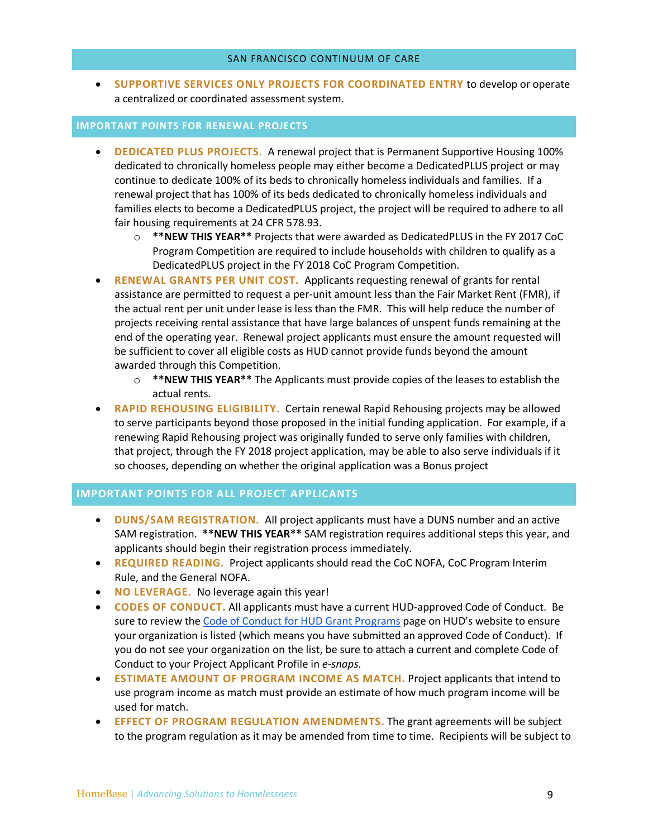• **SUPPORTIVE SERVICES ONLY PROJECTS FOR COORDINATED ENTRY** to develop or operate a centralized or coordinated assessment system.

#### **IMPORTANT POINTS FOR RENEWAL PROJECTS**

- **DEDICATED PLUS PROJECTS.** A renewal project that is Permanent Supportive Housing 100% dedicated to chronically homeless people may either become a DedicatedPLUS project or may continue to dedicate 100% of its beds to chronically homeless individuals and families. If a renewal project that has 100% of its beds dedicated to chronically homeless individuals and families elects to become a DedicatedPLUS project, the project will be required to adhere to all fair housing requirements at 24 CFR 578.93.
	- o **\*\*NEW THIS YEAR\*\*** Projects that were awarded as DedicatedPLUS in the FY 2017 CoC Program Competition are required to include households with children to qualify as a DedicatedPLUS project in the FY 2018 CoC Program Competition.
- **RENEWAL GRANTS PER UNIT COST.** Applicants requesting renewal of grants for rental assistance are permitted to request a per-unit amount less than the Fair Market Rent (FMR), if the actual rent per unit under lease is less than the FMR. This will help reduce the number of projects receiving rental assistance that have large balances of unspent funds remaining at the end of the operating year. Renewal project applicants must ensure the amount requested will be sufficient to cover all eligible costs as HUD cannot provide funds beyond the amount awarded through this Competition.
	- o **\*\*NEW THIS YEAR\*\*** The Applicants must provide copies of the leases to establish the actual rents.
- **RAPID REHOUSING ELIGIBILITY.** Certain renewal Rapid Rehousing projects may be allowed to serve participants beyond those proposed in the initial funding application. For example, if a renewing Rapid Rehousing project was originally funded to serve only families with children, that project, through the FY 2018 project application, may be able to also serve individuals if it so chooses, depending on whether the original application was a Bonus project

#### **IMPORTANT POINTS FOR ALL PROJECT APPLICANTS**

- **DUNS/SAM REGISTRATION.** All project applicants must have a DUNS number and an active SAM registration. **\*\*NEW THIS YEAR\*\*** SAM registration requires additional steps this year, and applicants should begin their registration process immediately.
- **REQUIRED READING.** Project applicants should read the CoC NOFA, CoC Program Interim Rule, and the General NOFA.
- **NO LEVERAGE.** No leverage again this year!
- **CODES OF CONDUCT.** All applicants must have a current HUD-approved Code of Conduct. Be sure to review the Code of Conduct for HUD Grant Programs page on HUD's website to ensure your organization is listed (which means you have submitted an approved Code of Conduct). If you do not see your organization on the list, be sure to attach a current and complete Code of Conduct to your Project Applicant Profile in *e-snaps*.
- **ESTIMATE AMOUNT OF PROGRAM INCOME AS MATCH.** Project applicants that intend to use program income as match must provide an estimate of how much program income will be used for match.
- **EFFECT OF PROGRAM REGULATION AMENDMENTS.** The grant agreements will be subject to the program regulation as it may be amended from time to time. Recipients will be subject to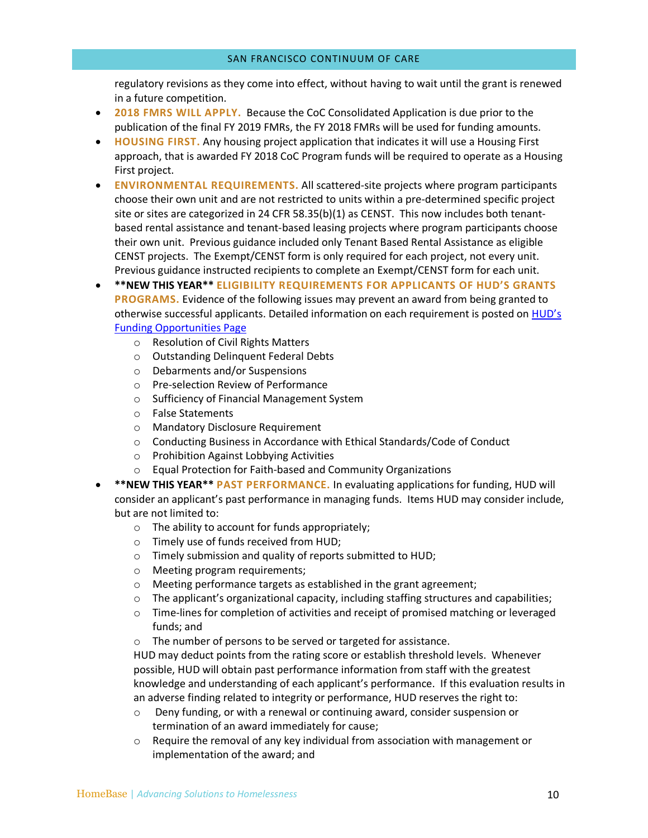regulatory revisions as they come into effect, without having to wait until the grant is renewed in a future competition.

- **2018 FMRS WILL APPLY.** Because the CoC Consolidated Application is due prior to the publication of the final FY 2019 FMRs, the FY 2018 FMRs will be used for funding amounts.
- **HOUSING FIRST.** Any housing project application that indicates it will use a Housing First approach, that is awarded FY 2018 CoC Program funds will be required to operate as a Housing First project.
- **ENVIRONMENTAL REQUIREMENTS.** All scattered-site projects where program participants choose their own unit and are not restricted to units within a pre-determined specific project site or sites are categorized in 24 CFR 58.35(b)(1) as CENST. This now includes both tenantbased rental assistance and tenant-based leasing projects where program participants choose their own unit. Previous guidance included only Tenant Based Rental Assistance as eligible CENST projects. The Exempt/CENST form is only required for each project, not every unit. Previous guidance instructed recipients to complete an Exempt/CENST form for each unit.

• **\*\*NEW THIS YEAR\*\* ELIGIBILITY REQUIREMENTS FOR APPLICANTS OF HUD'S GRANTS PROGRAMS.** Evidence of the following issues may prevent an award from being granted to otherwise successful applicants. Detailed information on each requirement is posted on **HUD's** Funding Opportunities Page

- o Resolution of Civil Rights Matters
- o Outstanding Delinquent Federal Debts
- o Debarments and/or Suspensions
- o Pre-selection Review of Performance
- o Sufficiency of Financial Management System
- o False Statements
- o Mandatory Disclosure Requirement
- o Conducting Business in Accordance with Ethical Standards/Code of Conduct
- o Prohibition Against Lobbying Activities
- o Equal Protection for Faith-based and Community Organizations
- **\*\*NEW THIS YEAR\*\* PAST PERFORMANCE.** In evaluating applications for funding, HUD will consider an applicant's past performance in managing funds. Items HUD may consider include, but are not limited to:
	- $\circ$  The ability to account for funds appropriately;
	- o Timely use of funds received from HUD;
	- o Timely submission and quality of reports submitted to HUD;
	- o Meeting program requirements;
	- o Meeting performance targets as established in the grant agreement;
	- $\circ$  The applicant's organizational capacity, including staffing structures and capabilities;
	- $\circ$  Time-lines for completion of activities and receipt of promised matching or leveraged funds; and
	- o The number of persons to be served or targeted for assistance.

HUD may deduct points from the rating score or establish threshold levels. Whenever possible, HUD will obtain past performance information from staff with the greatest knowledge and understanding of each applicant's performance. If this evaluation results in an adverse finding related to integrity or performance, HUD reserves the right to:

- o Deny funding, or with a renewal or continuing award, consider suspension or termination of an award immediately for cause;
- $\circ$  Require the removal of any key individual from association with management or implementation of the award; and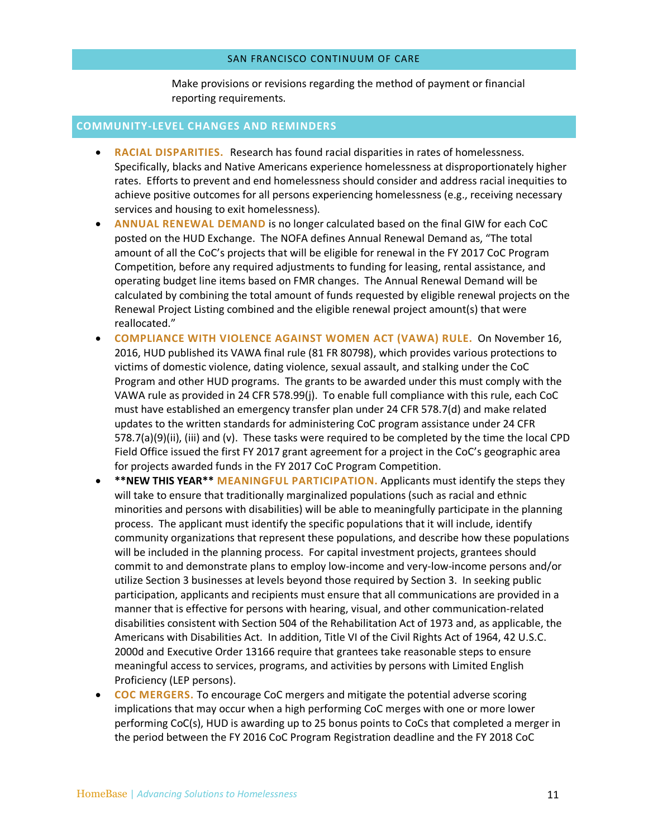Make provisions or revisions regarding the method of payment or financial reporting requirements.

#### **COMMUNITY-LEVEL CHANGES AND REMINDERS**

- **RACIAL DISPARITIES.** Research has found racial disparities in rates of homelessness. Specifically, blacks and Native Americans experience homelessness at disproportionately higher rates. Efforts to prevent and end homelessness should consider and address racial inequities to achieve positive outcomes for all persons experiencing homelessness (e.g., receiving necessary services and housing to exit homelessness).
- **ANNUAL RENEWAL DEMAND** is no longer calculated based on the final GIW for each CoC posted on the HUD Exchange. The NOFA defines Annual Renewal Demand as, "The total amount of all the CoC's projects that will be eligible for renewal in the FY 2017 CoC Program Competition, before any required adjustments to funding for leasing, rental assistance, and operating budget line items based on FMR changes. The Annual Renewal Demand will be calculated by combining the total amount of funds requested by eligible renewal projects on the Renewal Project Listing combined and the eligible renewal project amount(s) that were reallocated."
- **COMPLIANCE WITH VIOLENCE AGAINST WOMEN ACT (VAWA) RULE.** On November 16, 2016, HUD published its VAWA final rule (81 FR 80798), which provides various protections to victims of domestic violence, dating violence, sexual assault, and stalking under the CoC Program and other HUD programs. The grants to be awarded under this must comply with the VAWA rule as provided in 24 CFR 578.99(j). To enable full compliance with this rule, each CoC must have established an emergency transfer plan under 24 CFR 578.7(d) and make related updates to the written standards for administering CoC program assistance under 24 CFR 578.7(a)(9)(ii), (iii) and (v). These tasks were required to be completed by the time the local CPD Field Office issued the first FY 2017 grant agreement for a project in the CoC's geographic area for projects awarded funds in the FY 2017 CoC Program Competition.
- **\*\*NEW THIS YEAR\*\* MEANINGFUL PARTICIPATION.** Applicants must identify the steps they will take to ensure that traditionally marginalized populations (such as racial and ethnic minorities and persons with disabilities) will be able to meaningfully participate in the planning process. The applicant must identify the specific populations that it will include, identify community organizations that represent these populations, and describe how these populations will be included in the planning process. For capital investment projects, grantees should commit to and demonstrate plans to employ low-income and very-low-income persons and/or utilize Section 3 businesses at levels beyond those required by Section 3. In seeking public participation, applicants and recipients must ensure that all communications are provided in a manner that is effective for persons with hearing, visual, and other communication-related disabilities consistent with Section 504 of the Rehabilitation Act of 1973 and, as applicable, the Americans with Disabilities Act. In addition, Title VI of the Civil Rights Act of 1964, 42 U.S.C. 2000d and Executive Order 13166 require that grantees take reasonable steps to ensure meaningful access to services, programs, and activities by persons with Limited English Proficiency (LEP persons).
- **COC MERGERS.** To encourage CoC mergers and mitigate the potential adverse scoring implications that may occur when a high performing CoC merges with one or more lower performing CoC(s), HUD is awarding up to 25 bonus points to CoCs that completed a merger in the period between the FY 2016 CoC Program Registration deadline and the FY 2018 CoC